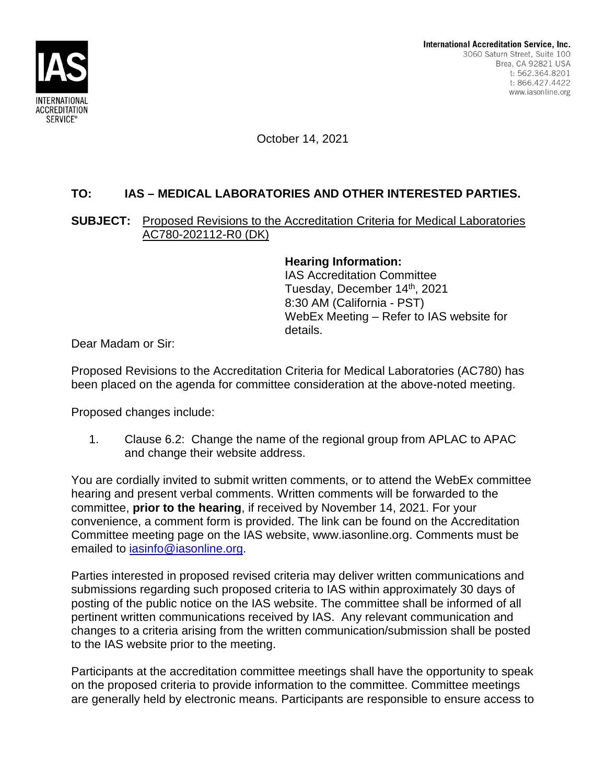

October 14, 2021

# **TO: IAS – MEDICAL LABORATORIES AND OTHER INTERESTED PARTIES.**

### **SUBJECT:** Proposed Revisions to the Accreditation Criteria for Medical Laboratories AC780-202112-R0 (DK)

**Hearing Information:** IAS Accreditation Committee Tuesday, December 14<sup>th</sup>, 2021 8:30 AM (California - PST) WebEx Meeting – Refer to IAS website for details.

Dear Madam or Sir:

Proposed Revisions to the Accreditation Criteria for Medical Laboratories (AC780) has been placed on the agenda for committee consideration at the above-noted meeting.

Proposed changes include:

1. Clause 6.2: Change the name of the regional group from APLAC to APAC and change their website address.

You are cordially invited to submit written comments, or to attend the WebEx committee hearing and present verbal comments. Written comments will be forwarded to the committee, **prior to the hearing**, if received by November 14, 2021. For your convenience, a comment form is provided. The link can be found on the Accreditation Committee meeting page on the IAS website, www.iasonline.org. Comments must be emailed to iasinfo@iasonline.org.

Parties interested in proposed revised criteria may deliver written communications and submissions regarding such proposed criteria to IAS within approximately 30 days of posting of the public notice on the IAS website. The committee shall be informed of all pertinent written communications received by IAS. Any relevant communication and changes to a criteria arising from the written communication/submission shall be posted to the IAS website prior to the meeting.

Participants at the accreditation committee meetings shall have the opportunity to speak on the proposed criteria to provide information to the committee. Committee meetings are generally held by electronic means. Participants are responsible to ensure access to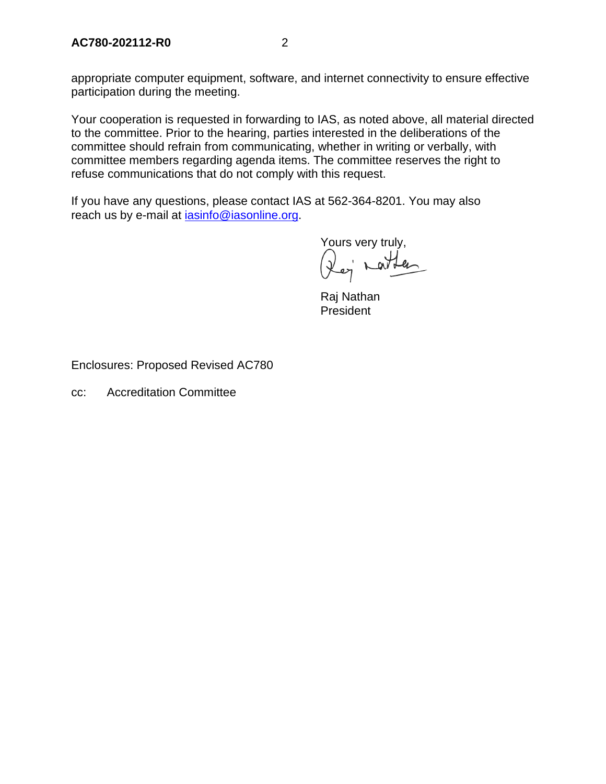appropriate computer equipment, software, and internet connectivity to ensure effective participation during the meeting.

Your cooperation is requested in forwarding to IAS, as noted above, all material directed to the committee. Prior to the hearing, parties interested in the deliberations of the committee should refrain from communicating, whether in writing or verbally, with committee members regarding agenda items. The committee reserves the right to refuse communications that do not comply with this request.

If you have any questions, please contact IAS at 562-364-8201. You may also reach us by e-mail at **jasinfo@iasonline.org**.

Yours very truly, (lej nathan

Raj Nathan **President** 

Enclosures: Proposed Revised AC780

cc: Accreditation Committee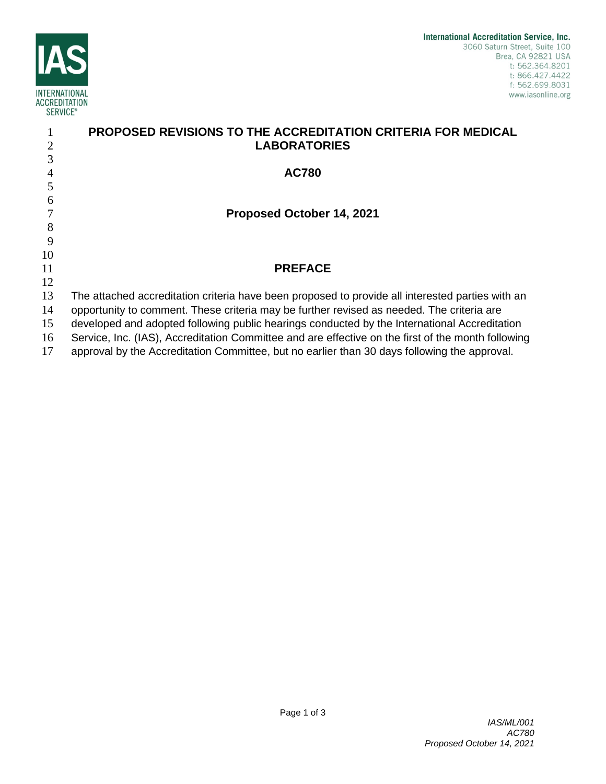

|    | <b>PROPOSED REVISIONS TO THE ACCREDITATION CRITERIA FOR MEDICAL</b>                                |
|----|----------------------------------------------------------------------------------------------------|
| 2  | <b>LABORATORIES</b>                                                                                |
| 3  |                                                                                                    |
| 4  | <b>AC780</b>                                                                                       |
| 5  |                                                                                                    |
| 6  |                                                                                                    |
|    | Proposed October 14, 2021                                                                          |
| 8  |                                                                                                    |
| 9  |                                                                                                    |
| 10 |                                                                                                    |
| 11 | <b>PREFACE</b>                                                                                     |
| 12 |                                                                                                    |
| 13 | The attached accreditation criteria have been proposed to provide all interested parties with an   |
| 14 | opportunity to comment. These criteria may be further revised as needed. The criteria are          |
| 15 | developed and adopted following public hearings conducted by the International Accreditation       |
| 16 | Service, Inc. (IAS), Accreditation Committee and are effective on the first of the month following |
| 17 | approval by the Accreditation Committee, but no earlier than 30 days following the approval.       |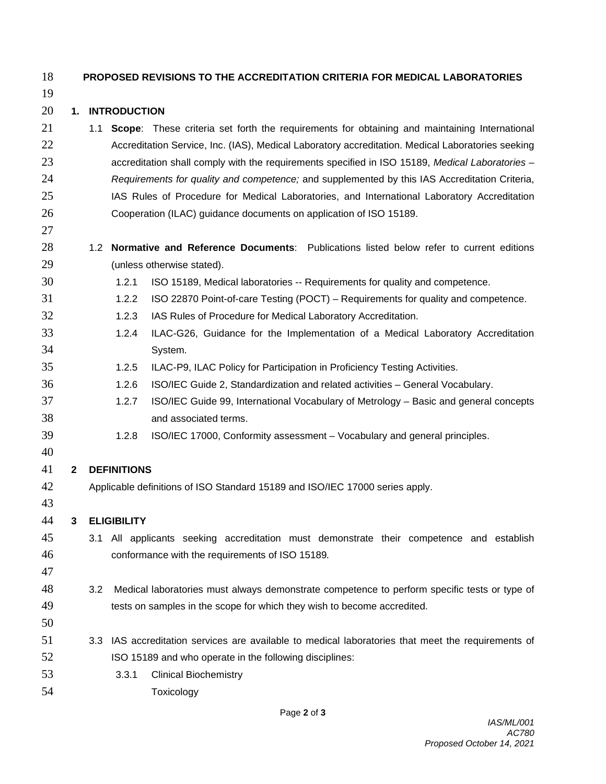#### **PROPOSED REVISIONS TO THE ACCREDITATION CRITERIA FOR MEDICAL LABORATORIES**

#### **1. INTRODUCTION**

- 1.1 **Scope**: These criteria set forth the requirements for obtaining and maintaining International **Accreditation Service, Inc. (IAS), Medical Laboratory accreditation. Medical Laboratories seeking**  accreditation shall comply with the requirements specified in ISO 15189, *Medical Laboratories* – *Requirements for quality and competence;* and supplemented by this IAS Accreditation Criteria, 25 IAS Rules of Procedure for Medical Laboratories, and International Laboratory Accreditation Cooperation (ILAC) guidance documents on application of ISO 15189.
- 1.2 **Normative and Reference Documents**: Publications listed below refer to current editions (unless otherwise stated).
- 1.2.1 ISO 15189, Medical laboratories -- Requirements for quality and competence.
- 1.2.2 ISO 22870 Point-of-care Testing (POCT) Requirements for quality and competence.
- 1.2.3 IAS Rules of Procedure for Medical Laboratory Accreditation.
- 1.2.4 ILAC-G26, Guidance for the Implementation of a Medical Laboratory Accreditation System.
- 1.2.5 ILAC-P9, ILAC Policy for Participation in Proficiency Testing Activities.
- 1.2.6 ISO/IEC Guide 2, Standardization and related activities General Vocabulary.
- 1.2.7 ISO/IEC Guide 99, International Vocabulary of Metrology Basic and general concepts and associated terms.
- 1.2.8 ISO/IEC 17000, Conformity assessment Vocabulary and general principles.

### 

## **2 DEFINITIONS**

- Applicable definitions of ISO Standard 15189 and ISO/IEC 17000 series apply.
- 

**3 ELIGIBILITY**

- 3.1 All applicants seeking accreditation must demonstrate their competence and establish conformance with the requirements of ISO 15189*.*
- 
- 3.2 Medical laboratories must always demonstrate competence to perform specific tests or type of tests on samples in the scope for which they wish to become accredited.
- 
- 3.3 IAS accreditation services are available to medical laboratories that meet the requirements of ISO 15189 and who operate in the following disciplines:
- 3.3.1 Clinical Biochemistry
- Toxicology